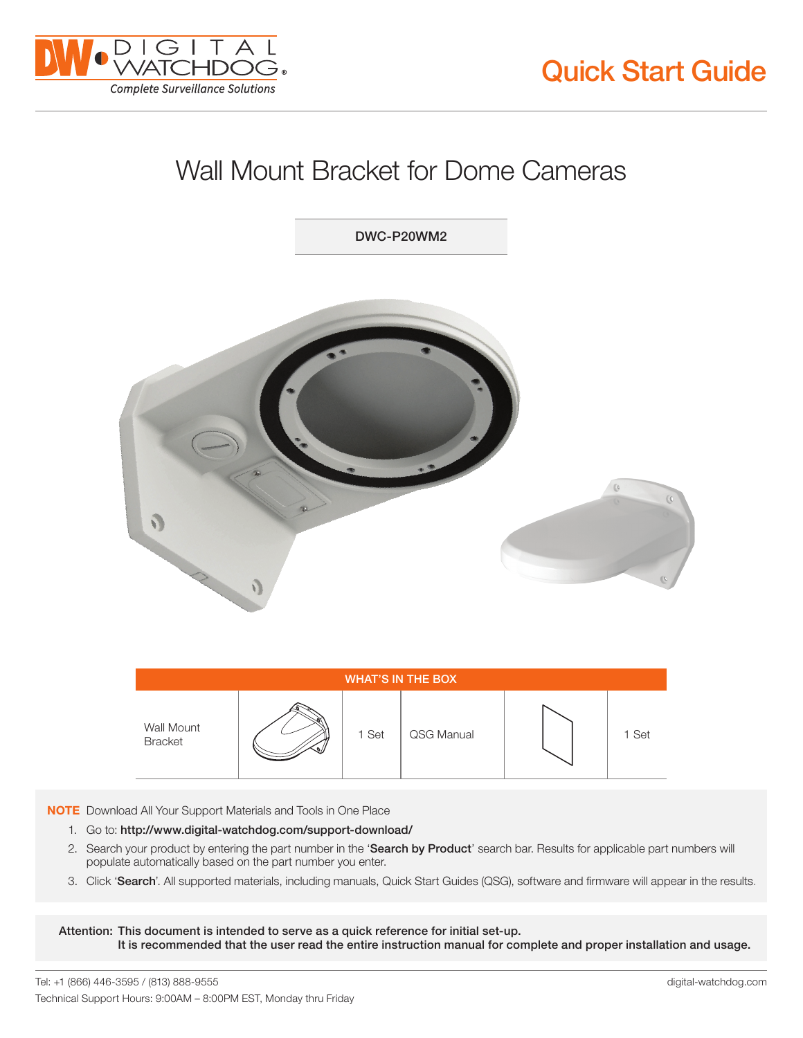



## Wall Mount Bracket for Dome Cameras

DWC-P20WM2



| <b>WHAT'S IN THE BOX</b>     |  |       |            |  |       |
|------------------------------|--|-------|------------|--|-------|
| Wall Mount<br><b>Bracket</b> |  | 1 Set | QSG Manual |  | 1 Set |

NOTE Download All Your Support Materials and Tools in One Place

- 1. Go to: http://www.digital-watchdog.com/support-download/
- 2. Search your product by entering the part number in the 'Search by Product' search bar. Results for applicable part numbers will populate automatically based on the part number you enter.
- 3. Click 'Search'. All supported materials, including manuals, Quick Start Guides (QSG), software and firmware will appear in the results.

Attention: This document is intended to serve as a quick reference for initial set-up. It is recommended that the user read the entire instruction manual for complete and proper installation and usage.